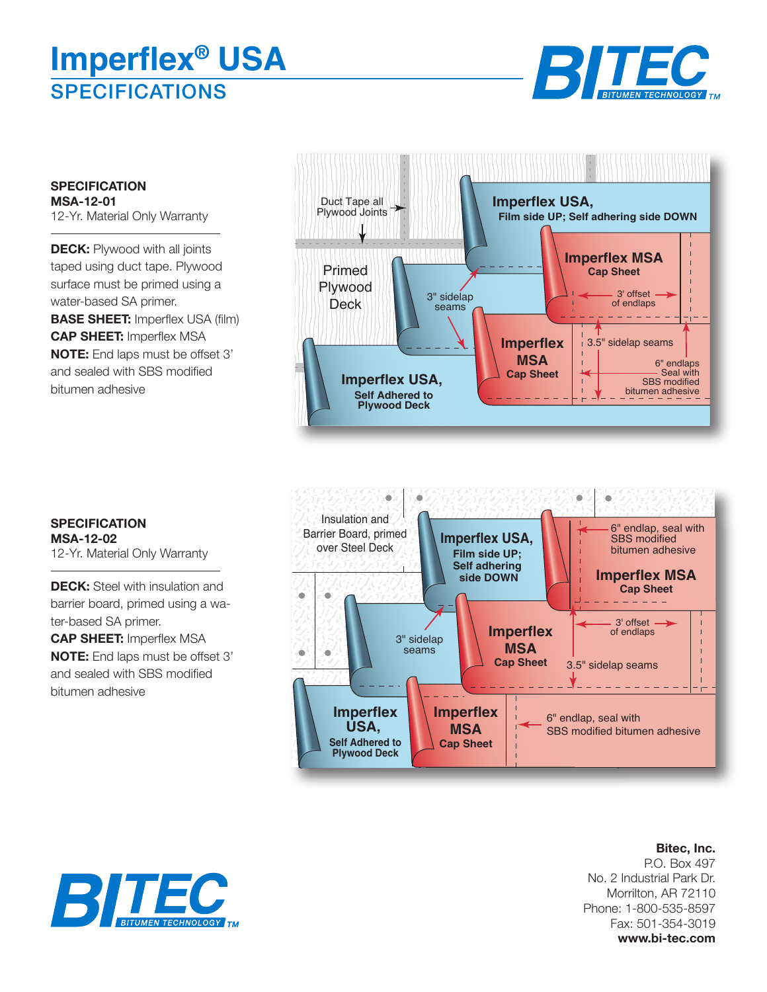## **SPECIFICATIONS Imperflex® USA**



**SPECIFICATION MSA-12-01** 12-Yr. Material Only Warranty

**DECK:** Plywood with all joints taped using duct tape. Plywood surface must be primed using a water-based SA primer. **BASE SHEET:** Imperflex USA (film) **CAP SHEET:** Imperflex MSA **NOTE:** End laps must be offset 3' and sealed with SBS modified bitumen adhesive





**SPECIFICATION MSA-12-02** 12-Yr. Material Only Warranty

**DECK:** Steel with insulation and barrier board, primed using a water-based SA primer. **CAP SHEET:** Imperflex MSA

**NOTE:** End laps must be offset 3' and sealed with SBS modified bitumen adhesive

> **Bitec, Inc.** P.O. Box 497 No. 2 Industrial Park Dr. Morrilton, AR 72110 Phone: 1-800-535-8597 Fax: 501-354-3019 **www.bi-tec.com**

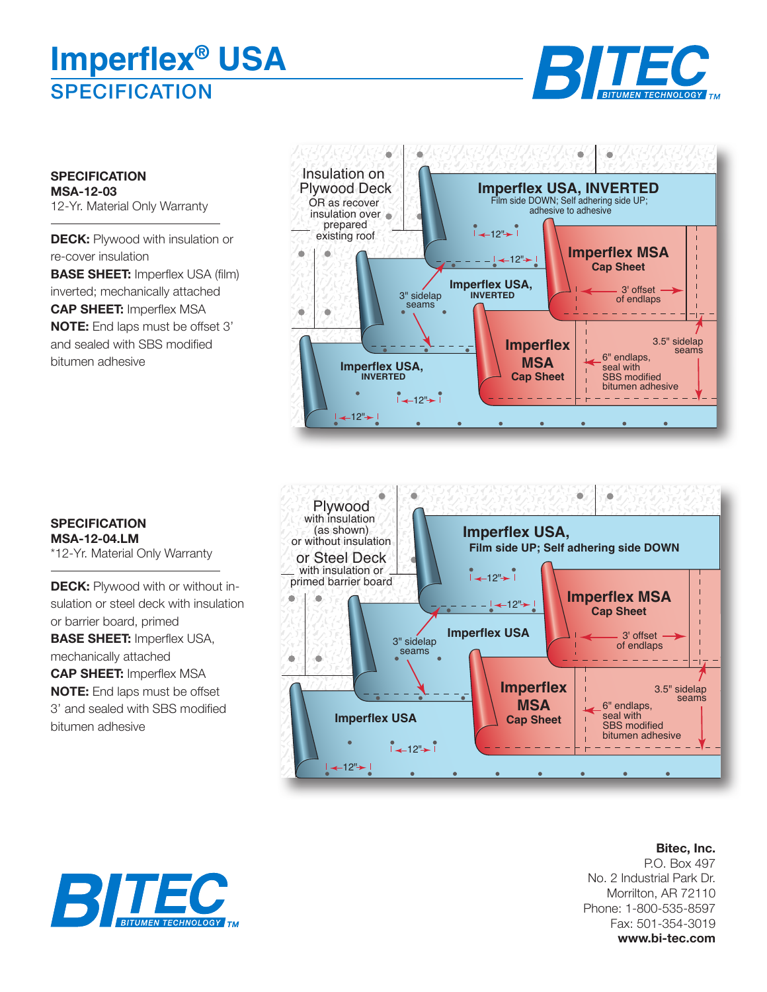## **SPECIFICATION Imperflex® USA**



**SPECIFICATION MSA-12-03** 12-Yr. Material Only Warranty

**DECK:** Plywood with insulation or re-cover insulation **BASE SHEET:** Imperflex USA (film) inverted; mechanically attached **CAP SHEET:** Imperflex MSA **NOTE:** End laps must be offset 3' and sealed with SBS modified bitumen adhesive





## **SPECIFICATION MSA-12-04.LM** \*12-Yr. Material Only Warranty

**DECK:** Plywood with or without insulation or steel deck with insulation or barrier board, primed **BASE SHEET:** Imperflex USA, mechanically attached **CAP SHEET:** Imperflex MSA **NOTE:** End laps must be offset 3' and sealed with SBS modified bitumen adhesive

> **Bitec, Inc.** P.O. Box 497 No. 2 Industrial Park Dr. Morrilton, AR 72110 Phone: 1-800-535-8597 Fax: 501-354-3019 **www.bi-tec.com**